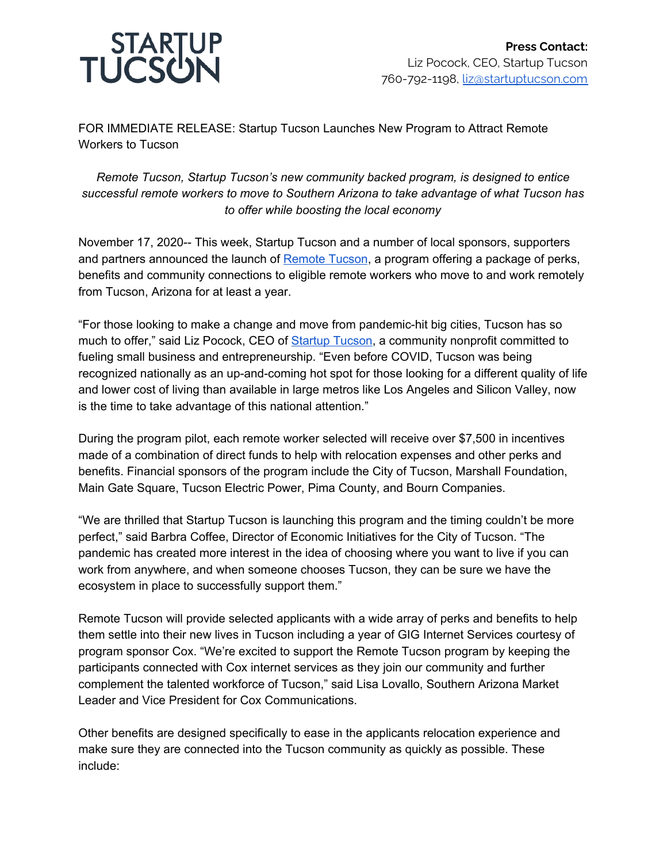

FOR IMMEDIATE RELEASE: Startup Tucson Launches New Program to Attract Remote Workers to Tucson

## *Remote Tucson, Startup Tucson's new community backed program, is designed to entice successful remote workers to move to Southern Arizona to take advantage of what Tucson has to offer while boosting the local economy*

November 17, 2020-- This week, Startup Tucson and a number of local sponsors, supporters and partners announced the launch of [Remote](http://www.startuptucson.com/remotetucson) Tucson, a program offering a package of perks, benefits and community connections to eligible remote workers who move to and work remotely from Tucson, Arizona for at least a year.

"For those looking to make a change and move from pandemic-hit big cities, Tucson has so much to offer," said Liz Pocock, CEO of **Startup [Tucson](https://www.startuptucson.com/)**, a community nonprofit committed to fueling small business and entrepreneurship. "Even before COVID, Tucson was being recognized nationally as an up-and-coming hot spot for those looking for a different quality of life and lower cost of living than available in large metros like Los Angeles and Silicon Valley, now is the time to take advantage of this national attention."

During the program pilot, each remote worker selected will receive over \$7,500 in incentives made of a combination of direct funds to help with relocation expenses and other perks and benefits. Financial sponsors of the program include the City of Tucson, Marshall Foundation, Main Gate Square, Tucson Electric Power, Pima County, and Bourn Companies.

"We are thrilled that Startup Tucson is launching this program and the timing couldn't be more perfect," said Barbra Coffee, Director of Economic Initiatives for the City of Tucson. "The pandemic has created more interest in the idea of choosing where you want to live if you can work from anywhere, and when someone chooses Tucson, they can be sure we have the ecosystem in place to successfully support them."

Remote Tucson will provide selected applicants with a wide array of perks and benefits to help them settle into their new lives in Tucson including a year of GIG Internet Services courtesy of program sponsor Cox. "We're excited to support the Remote Tucson program by keeping the participants connected with Cox internet services as they join our community and further complement the talented workforce of Tucson," said Lisa Lovallo, Southern Arizona Market Leader and Vice President for Cox Communications.

Other benefits are designed specifically to ease in the applicants relocation experience and make sure they are connected into the Tucson community as quickly as possible. These include: